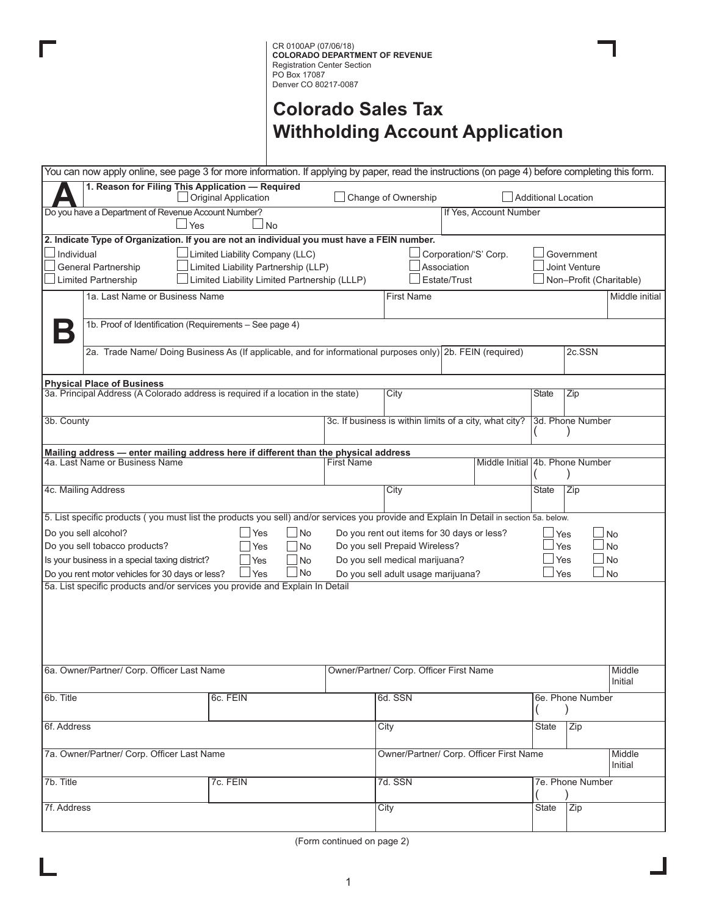# **Colorado Sales Tax Withholding Account Application**

| You can now apply online, see page 3 for more information. If applying by paper, read the instructions (on page 4) before completing this form. |                                              |                   |                                         |                                                        |              |                           |                   |  |
|-------------------------------------------------------------------------------------------------------------------------------------------------|----------------------------------------------|-------------------|-----------------------------------------|--------------------------------------------------------|--------------|---------------------------|-------------------|--|
| 1. Reason for Filing This Application - Required<br>Original Application                                                                        | Change of Ownership                          |                   |                                         | <b>Additional Location</b>                             |              |                           |                   |  |
| Do you have a Department of Revenue Account Number?                                                                                             |                                              |                   |                                         | If Yes, Account Number                                 |              |                           |                   |  |
| Yes                                                                                                                                             | $\overline{\phantom{a}}$ No                  |                   |                                         |                                                        |              |                           |                   |  |
| 2. Indicate Type of Organization. If you are not an individual you must have a FEIN number.                                                     |                                              |                   |                                         |                                                        |              |                           |                   |  |
| Individual                                                                                                                                      | $\perp$ Limited Liability Company (LLC)      |                   |                                         | Corporation/'S' Corp.                                  |              | Government                |                   |  |
| General Partnership                                                                                                                             | Limited Liability Partnership (LLP)          |                   |                                         | Association                                            |              | <b>Joint Venture</b>      |                   |  |
| <b>Limited Partnership</b>                                                                                                                      | Limited Liability Limited Partnership (LLLP) |                   |                                         | Estate/Trust                                           |              | Non-Profit (Charitable)   |                   |  |
| 1a. Last Name or Business Name                                                                                                                  |                                              |                   | <b>First Name</b>                       |                                                        |              |                           | Middle initial    |  |
|                                                                                                                                                 |                                              |                   |                                         |                                                        |              |                           |                   |  |
| 1b. Proof of Identification (Requirements - See page 4)<br>D                                                                                    |                                              |                   |                                         |                                                        |              |                           |                   |  |
| 2a. Trade Name/Doing Business As (If applicable, and for informational purposes only) 2b. FEIN (required)                                       |                                              |                   |                                         |                                                        |              | 2c.SSN                    |                   |  |
|                                                                                                                                                 |                                              |                   |                                         |                                                        |              |                           |                   |  |
| <b>Physical Place of Business</b>                                                                                                               |                                              |                   |                                         |                                                        |              |                           |                   |  |
| 3a. Principal Address (A Colorado address is required if a location in the state)                                                               |                                              |                   | City                                    |                                                        | <b>State</b> | Zip                       |                   |  |
| 3b. County                                                                                                                                      |                                              |                   |                                         | 3c. If business is within limits of a city, what city? |              | 3d. Phone Number          |                   |  |
|                                                                                                                                                 |                                              |                   |                                         |                                                        |              |                           |                   |  |
| Mailing address - enter mailing address here if different than the physical address                                                             |                                              |                   |                                         |                                                        |              |                           |                   |  |
| 4a. Last Name or Business Name                                                                                                                  |                                              | <b>First Name</b> |                                         | Middle Initial 4b. Phone Number                        |              |                           |                   |  |
|                                                                                                                                                 |                                              |                   |                                         |                                                        |              |                           |                   |  |
| 4c. Mailing Address                                                                                                                             |                                              |                   | City                                    |                                                        | <b>State</b> | Zip                       |                   |  |
| 5. List specific products (you must list the products you sell) and/or services you provide and Explain In Detail in section 5a. below.         |                                              |                   |                                         |                                                        |              |                           |                   |  |
| Do you sell alcohol?                                                                                                                            | Yes<br>No                                    |                   |                                         | Do you rent out items for 30 days or less?             | $\sqcup$ Yes |                           | $\Box$ No         |  |
| Do you sell tobacco products?                                                                                                                   | Yes<br><b>No</b>                             |                   | Do you sell Prepaid Wireless?           |                                                        | Yes          |                           | $\Box$ No         |  |
| Is your business in a special taxing district?                                                                                                  | No<br>Yes                                    |                   | Do you sell medical marijuana?          |                                                        |              | $\Box$ No<br>$\sqcup$ Yes |                   |  |
| Do you rent motor vehicles for 30 days or less?                                                                                                 | Do you sell adult usage marijuana?           |                   |                                         | $\Box$ No<br>$\sqcup$ Yes                              |              |                           |                   |  |
| 5a. List specific products and/or services you provide and Explain In Detail                                                                    |                                              |                   |                                         |                                                        |              |                           |                   |  |
|                                                                                                                                                 |                                              |                   |                                         |                                                        |              |                           |                   |  |
|                                                                                                                                                 |                                              |                   |                                         |                                                        |              |                           |                   |  |
|                                                                                                                                                 |                                              |                   |                                         |                                                        |              |                           |                   |  |
|                                                                                                                                                 |                                              |                   |                                         |                                                        |              |                           |                   |  |
|                                                                                                                                                 |                                              |                   |                                         |                                                        |              |                           |                   |  |
| 6a. Owner/Partner/ Corp. Officer Last Name                                                                                                      |                                              |                   | Owner/Partner/ Corp. Officer First Name |                                                        |              |                           | Middle            |  |
|                                                                                                                                                 |                                              |                   |                                         |                                                        |              |                           | Initial           |  |
| 6b. Title                                                                                                                                       | 6c. FEIN                                     |                   | 6d. SSN                                 |                                                        |              | 6e. Phone Number          |                   |  |
|                                                                                                                                                 |                                              |                   |                                         |                                                        |              |                           |                   |  |
| 6f. Address                                                                                                                                     |                                              |                   | City                                    |                                                        | State        | Zip                       |                   |  |
|                                                                                                                                                 |                                              |                   |                                         |                                                        |              |                           |                   |  |
| 7a. Owner/Partner/ Corp. Officer Last Name                                                                                                      |                                              |                   |                                         | Owner/Partner/ Corp. Officer First Name                |              |                           | Middle<br>Initial |  |
|                                                                                                                                                 |                                              |                   |                                         |                                                        |              |                           |                   |  |
| 7b. Title                                                                                                                                       | 7c. FEIN                                     |                   | 7d. SSN                                 |                                                        |              | 7e. Phone Number          |                   |  |
| 7f. Address                                                                                                                                     |                                              |                   | $\overline{\mathrm{City}}$              |                                                        | State        | $\overline{Zip}$          |                   |  |
|                                                                                                                                                 |                                              |                   |                                         |                                                        |              |                           |                   |  |

(Form continued on page 2)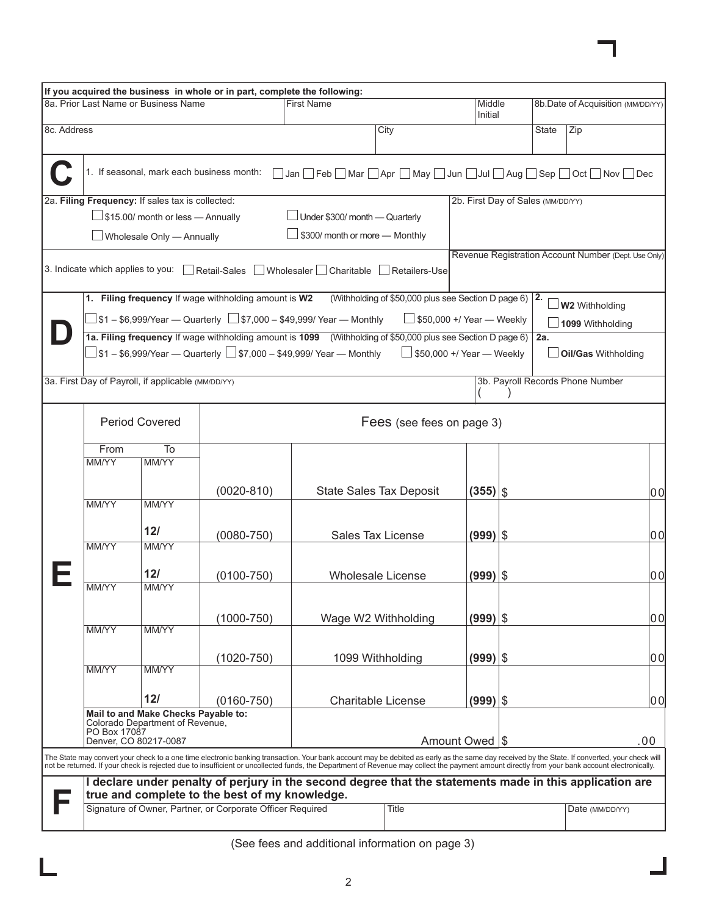|             |                                   |                                                                        | If you acquired the business in whole or in part, complete the following:                                                                                                                                                                                                                                                                                                                      |                                                                         |                                                        |                                   |              |     |                                                      |       |
|-------------|-----------------------------------|------------------------------------------------------------------------|------------------------------------------------------------------------------------------------------------------------------------------------------------------------------------------------------------------------------------------------------------------------------------------------------------------------------------------------------------------------------------------------|-------------------------------------------------------------------------|--------------------------------------------------------|-----------------------------------|--------------|-----|------------------------------------------------------|-------|
|             |                                   | 8a. Prior Last Name or Business Name                                   |                                                                                                                                                                                                                                                                                                                                                                                                | <b>First Name</b>                                                       |                                                        | Middle<br>Initial                 |              |     | 8b.Date of Acquisition (MM/DD/YY)                    |       |
| 8c. Address |                                   |                                                                        |                                                                                                                                                                                                                                                                                                                                                                                                | City                                                                    |                                                        |                                   | State<br>Zip |     |                                                      |       |
|             |                                   |                                                                        | 1. If seasonal, mark each business month:                                                                                                                                                                                                                                                                                                                                                      | □ Jan □ Feb □ Mar □ Apr □ May □ Jun □ Jul □ Aug □ Sep □ Oct □ Nov □ Dec |                                                        |                                   |              |     |                                                      |       |
|             |                                   | 2a. Filing Frequency: If sales tax is collected:                       |                                                                                                                                                                                                                                                                                                                                                                                                |                                                                         |                                                        | 2b. First Day of Sales (MM/DD/YY) |              |     |                                                      |       |
|             |                                   | $\Box$ \$15.00/ month or less - Annually                               |                                                                                                                                                                                                                                                                                                                                                                                                | $\Box$ Under \$300/ month — Quarterly                                   |                                                        |                                   |              |     |                                                      |       |
|             |                                   | Wholesale Only - Annually                                              |                                                                                                                                                                                                                                                                                                                                                                                                | $\perp$ \$300/ month or more — Monthly                                  |                                                        |                                   |              |     |                                                      |       |
|             | 3. Indicate which applies to you: |                                                                        | Retail-Sales                                                                                                                                                                                                                                                                                                                                                                                   | Wholesaler   Charitable   Retailers-Use                                 |                                                        |                                   |              |     | Revenue Registration Account Number (Dept. Use Only) |       |
|             |                                   |                                                                        | 1. Filing frequency If wage withholding amount is W2                                                                                                                                                                                                                                                                                                                                           |                                                                         | (Withholding of \$50,000 plus see Section D page 6) 2. |                                   |              |     | $\Box$ W2 Withholding                                |       |
|             |                                   |                                                                        | $\Box$ \$1 – \$6,999/Year — Quarterly $\Box$ \$7,000 – \$49,999/ Year — Monthly                                                                                                                                                                                                                                                                                                                |                                                                         | $\Box$ \$50,000 +/ Year $\Box$ Weekly                  |                                   |              |     | 1099 Withholding                                     |       |
|             |                                   |                                                                        | 1a. Filing frequency If wage withholding amount is 1099 (Withholding of \$50,000 plus see Section D page 6)<br>$\Box$ \$1 – \$6,999/Year — Quarterly $\Box$ \$7,000 – \$49,999/ Year — Monthly                                                                                                                                                                                                 |                                                                         | $\Box$ \$50,000 +/ Year $\Box$ Weekly                  |                                   |              | 2a. | Oil/Gas Withholding                                  |       |
|             |                                   | 3a. First Day of Payroll, if applicable (MM/DD/YY)                     |                                                                                                                                                                                                                                                                                                                                                                                                |                                                                         |                                                        |                                   |              |     | 3b. Payroll Records Phone Number                     |       |
|             | <b>Period Covered</b>             |                                                                        |                                                                                                                                                                                                                                                                                                                                                                                                | Fees (see fees on page 3)                                               |                                                        |                                   |              |     |                                                      |       |
|             | From                              | To                                                                     |                                                                                                                                                                                                                                                                                                                                                                                                |                                                                         |                                                        |                                   |              |     |                                                      |       |
|             | <b>MM/YY</b>                      | <b>MM/YY</b>                                                           |                                                                                                                                                                                                                                                                                                                                                                                                |                                                                         |                                                        |                                   |              |     |                                                      |       |
|             |                                   |                                                                        | $(0020 - 810)$                                                                                                                                                                                                                                                                                                                                                                                 |                                                                         | <b>State Sales Tax Deposit</b>                         | $(355)$ $\vert$ \$                |              |     |                                                      | 0이    |
|             | <b>MM/YY</b>                      | <b>MM/YY</b>                                                           |                                                                                                                                                                                                                                                                                                                                                                                                |                                                                         |                                                        |                                   |              |     |                                                      |       |
|             |                                   | 12/                                                                    | $(0080 - 750)$                                                                                                                                                                                                                                                                                                                                                                                 |                                                                         | <b>Sales Tax License</b>                               | $(999) $ \$                       |              |     |                                                      | 0이    |
|             | <b>MM/YY</b>                      | <b>MM/YY</b>                                                           |                                                                                                                                                                                                                                                                                                                                                                                                |                                                                         |                                                        |                                   |              |     |                                                      |       |
|             |                                   | 12/                                                                    |                                                                                                                                                                                                                                                                                                                                                                                                |                                                                         |                                                        |                                   |              |     |                                                      |       |
|             | MM/YY                             | <b>MM/YY</b>                                                           | $(0100 - 750)$                                                                                                                                                                                                                                                                                                                                                                                 |                                                                         | <b>Wholesale License</b>                               | $(999) $ \$                       |              |     |                                                      | 0이    |
|             |                                   |                                                                        |                                                                                                                                                                                                                                                                                                                                                                                                |                                                                         |                                                        |                                   |              |     |                                                      |       |
|             | MM/YY                             | MM/YY                                                                  | $(1000 - 750)$                                                                                                                                                                                                                                                                                                                                                                                 |                                                                         | Wage W2 Withholding                                    | $(999) $ \$                       |              |     |                                                      | 0 O   |
|             |                                   |                                                                        |                                                                                                                                                                                                                                                                                                                                                                                                |                                                                         |                                                        |                                   |              |     |                                                      |       |
|             |                                   |                                                                        | $(1020 - 750)$                                                                                                                                                                                                                                                                                                                                                                                 |                                                                         | 1099 Withholding                                       | $(999)$ \$                        |              |     |                                                      | l0 Ol |
|             | MM/YY                             | MM/YY                                                                  |                                                                                                                                                                                                                                                                                                                                                                                                |                                                                         |                                                        |                                   |              |     |                                                      |       |
|             |                                   | 12/                                                                    | $(0160 - 750)$                                                                                                                                                                                                                                                                                                                                                                                 |                                                                         | <b>Charitable License</b>                              | $(999)$ \$                        |              |     |                                                      | l0 Ol |
|             |                                   | Mail to and Make Checks Payable to:<br>Colorado Department of Revenue. |                                                                                                                                                                                                                                                                                                                                                                                                |                                                                         |                                                        |                                   |              |     |                                                      |       |
|             | PO Box 17087                      | Denver, CO 80217-0087                                                  |                                                                                                                                                                                                                                                                                                                                                                                                |                                                                         |                                                        | Amount Owed   \$                  |              |     |                                                      | .00   |
|             |                                   |                                                                        | The State may convert your check to a one time electronic banking transaction. Your bank account may be debited as early as the same day received by the State. If converted, your check will<br>not be returned. If your check is rejected due to insufficient or uncollected funds, the Department of Revenue may collect the payment amount directly from your bank account electronically. |                                                                         |                                                        |                                   |              |     |                                                      |       |
|             |                                   |                                                                        | I declare under penalty of perjury in the second degree that the statements made in this application are                                                                                                                                                                                                                                                                                       |                                                                         |                                                        |                                   |              |     |                                                      |       |
|             |                                   |                                                                        | true and complete to the best of my knowledge.<br>Signature of Owner, Partner, or Corporate Officer Required                                                                                                                                                                                                                                                                                   |                                                                         | <b>Title</b>                                           |                                   |              |     | Date (MM/DD/YY)                                      |       |
|             |                                   |                                                                        |                                                                                                                                                                                                                                                                                                                                                                                                |                                                                         |                                                        |                                   |              |     |                                                      |       |

(See fees and additional information on page 3)

П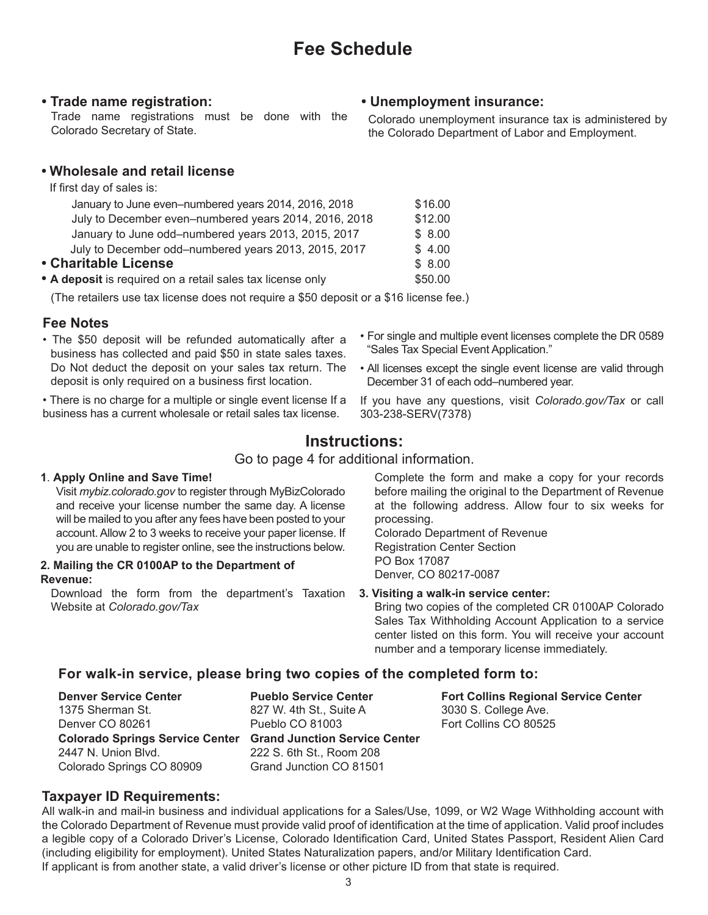### **• Trade name registration:**

Trade name registrations must be done with the Colorado Secretary of State.

## **• Wholesale and retail license**

If first day of sales is:

| January to June even-numbered years 2014, 2016, 2018       | \$16.00 |
|------------------------------------------------------------|---------|
| July to December even-numbered years 2014, 2016, 2018      | \$12.00 |
| January to June odd-numbered years 2013, 2015, 2017        | \$8.00  |
| July to December odd-numbered years 2013, 2015, 2017       | \$4.00  |
| • Charitable License                                       | \$8.00  |
| • A deposit is required on a retail sales tax license only | \$50.00 |

(The retailers use tax license does not require a \$50 deposit or a \$16 license fee.)

### **Fee Notes**

- The \$50 deposit will be refunded automatically after a business has collected and paid \$50 in state sales taxes. Do Not deduct the deposit on your sales tax return. The deposit is only required on a business first location.
- There is no charge for a multiple or single event license If a business has a current wholesale or retail sales tax license.
- For single and multiple event licenses complete the DR 0589 "Sales Tax Special Event Application."
- All licenses except the single event license are valid through December 31 of each odd–numbered year.
- If you have any questions, visit *Colorado.gov/Tax* or call 303-238-SERV(7378)

## **Instructions:**

Go to page 4 for additional information.

#### **1**. **Apply Online and Save Time!**

Visit *mybiz.colorado.gov* to register through MyBizColorado and receive your license number the same day. A license will be mailed to you after any fees have been posted to your account. Allow 2 to 3 weeks to receive your paper license. If you are unable to register online, see the instructions below.

#### **2. Mailing the CR 0100AP to the Department of Revenue:**

Download the form from the department's Taxation Website at *Colorado.gov/Tax*

Complete the form and make a copy for your records before mailing the original to the Department of Revenue at the following address. Allow four to six weeks for processing.

Colorado Department of Revenue Registration Center Section PO Box 17087 Denver, CO 80217-0087

#### **3. Visiting a walk-in service center:**

Bring two copies of the completed CR 0100AP Colorado Sales Tax Withholding Account Application to a service center listed on this form. You will receive your account number and a temporary license immediately.

### **For walk-in service, please bring two copies of the completed form to:**

**Denver Service Center** 1375 Sherman St. Denver CO 80261 **Colorado Springs Service Center Grand Junction Service Center** 2447 N. Union Blvd. Colorado Springs CO 80909

**Pueblo Service Center** 827 W. 4th St., Suite A Pueblo CO 81003 222 S. 6th St., Room 208 Grand Junction CO 81501 **Fort Collins Regional Service Center** 3030 S. College Ave. Fort Collins CO 80525

#### **Taxpayer ID Requirements:**

All walk-in and mail-in business and individual applications for a Sales/Use, 1099, or W2 Wage Withholding account with the Colorado Department of Revenue must provide valid proof of identification at the time of application. Valid proof includes a legible copy of a Colorado Driver's License, Colorado Identification Card, United States Passport, Resident Alien Card (including eligibility for employment). United States Naturalization papers, and/or Military Identification Card. If applicant is from another state, a valid driver's license or other picture ID from that state is required.

## **• Unemployment insurance:**

Colorado unemployment insurance tax is administered by the Colorado Department of Labor and Employment.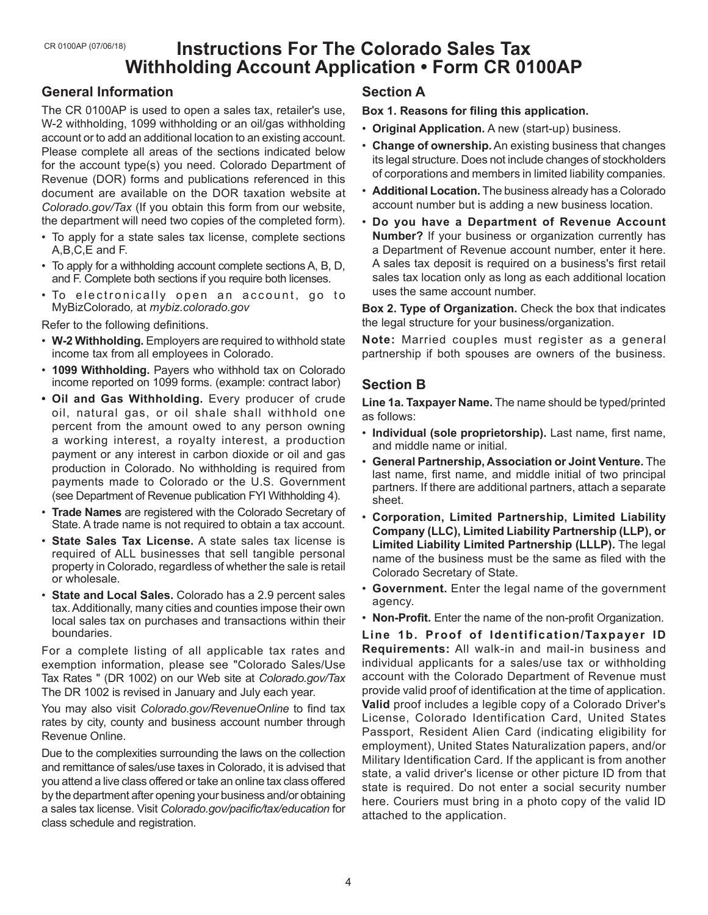## **Instructions For The Colorado Sales Tax Withholding Account Application • Form CR 0100AP**

## **General Information**

The CR 0100AP is used to open a sales tax, retailer's use, W-2 withholding, 1099 withholding or an oil/gas withholding account or to add an additional location to an existing account. Please complete all areas of the sections indicated below for the account type(s) you need. Colorado Department of Revenue (DOR) forms and publications referenced in this document are available on the DOR taxation website at *Colorado.gov/Tax* (If you obtain this form from our website, the department will need two copies of the completed form).

- To apply for a state sales tax license, complete sections A,B,C,E and F.
- To apply for a withholding account complete sections A, B, D, and F. Complete both sections if you require both licenses.
- To electronically open an account, go to MyBizColorado*,* at *mybiz.colorado.gov*

Refer to the following definitions.

- **W-2 Withholding.** Employers are required to withhold state income tax from all employees in Colorado.
- **1099 Withholding.** Payers who withhold tax on Colorado income reported on 1099 forms. (example: contract labor)
- **• Oil and Gas Withholding.** Every producer of crude oil, natural gas, or oil shale shall withhold one percent from the amount owed to any person owning a working interest, a royalty interest, a production payment or any interest in carbon dioxide or oil and gas production in Colorado. No withholding is required from payments made to Colorado or the U.S. Government (see Department of Revenue publication FYI Withholding 4).
- **Trade Names** are registered with the Colorado Secretary of State. A trade name is not required to obtain a tax account.
- **State Sales Tax License.** A state sales tax license is required of ALL businesses that sell tangible personal property in Colorado, regardless of whether the sale is retail or wholesale.
- **State and Local Sales.** Colorado has a 2.9 percent sales tax. Additionally, many cities and counties impose their own local sales tax on purchases and transactions within their boundaries.

For a complete listing of all applicable tax rates and exemption information, please see "Colorado Sales/Use Tax Rates " (DR 1002) on our Web site at *Colorado.gov/Tax* The DR 1002 is revised in January and July each year.

You may also visit *Colorado.gov/RevenueOnline* to find tax rates by city, county and business account number through Revenue Online.

Due to the complexities surrounding the laws on the collection and remittance of sales/use taxes in Colorado, it is advised that you attend a live class offered or take an online tax class offered by the department after opening your business and/or obtaining a sales tax license. Visit *Colorado.gov/pacific/tax/education* for class schedule and registration.

## **Section A**

**Box 1. Reasons for filing this application.**

- **Original Application.** A new (start-up) business.
- **Change of ownership.** An existing business that changes its legal structure. Does not include changes of stockholders of corporations and members in limited liability companies.
- **Additional Location.** The business already has a Colorado account number but is adding a new business location.
- **Do you have a Department of Revenue Account Number?** If your business or organization currently has a Department of Revenue account number, enter it here. A sales tax deposit is required on a business's first retail sales tax location only as long as each additional location uses the same account number.

**Box 2. Type of Organization.** Check the box that indicates the legal structure for your business/organization.

**Note:** Married couples must register as a general partnership if both spouses are owners of the business.

## **Section B**

**Line 1a. Taxpayer Name.** The name should be typed/printed as follows:

- **Individual (sole proprietorship).** Last name, first name, and middle name or initial.
- **General Partnership, Association or Joint Venture.** The last name, first name, and middle initial of two principal partners. If there are additional partners, attach a separate sheet.
- **Corporation, Limited Partnership, Limited Liability Company (LLC), Limited Liability Partnership (LLP), or Limited Liability Limited Partnership (LLLP).** The legal name of the business must be the same as filed with the Colorado Secretary of State.
- **Government.** Enter the legal name of the government agency.
- **Non-Profit.** Enter the name of the non-profit Organization.

**Line 1b. Proof of Identification/Taxpayer ID Requirements:** All walk-in and mail-in business and individual applicants for a sales/use tax or withholding account with the Colorado Department of Revenue must provide valid proof of identification at the time of application. **Valid** proof includes a legible copy of a Colorado Driver's License, Colorado Identification Card, United States Passport, Resident Alien Card (indicating eligibility for employment), United States Naturalization papers, and/or Military Identification Card. If the applicant is from another state, a valid driver's license or other picture ID from that state is required. Do not enter a social security number here. Couriers must bring in a photo copy of the valid ID attached to the application.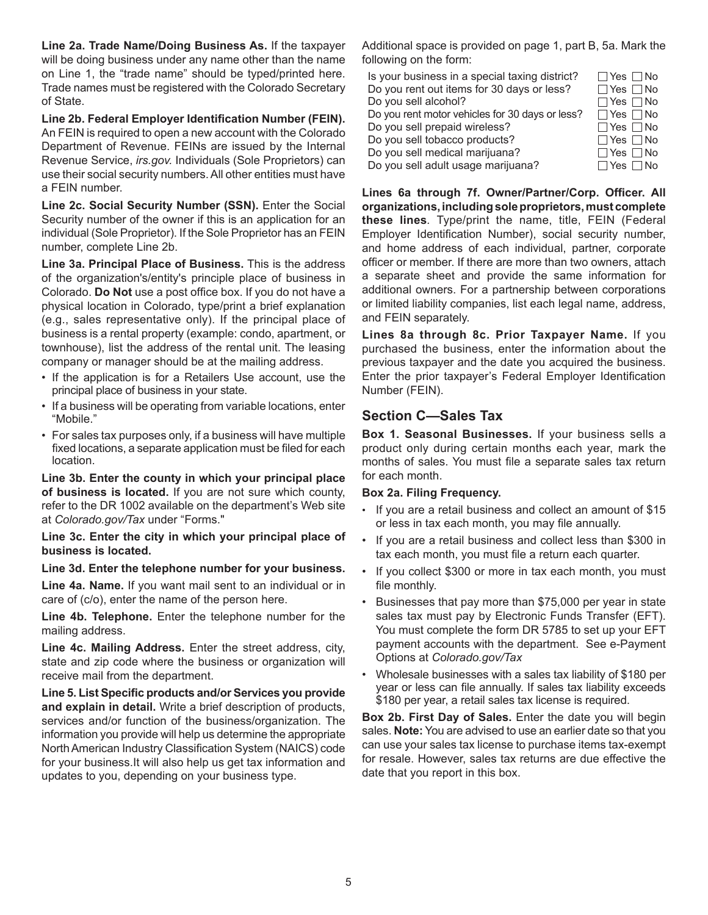**Line 2a. Trade Name/Doing Business As.** If the taxpayer will be doing business under any name other than the name on Line 1, the "trade name" should be typed/printed here. Trade names must be registered with the Colorado Secretary of State.

**Line 2b. Federal Employer Identification Number (FEIN).** An FEIN is required to open a new account with the Colorado Department of Revenue. FEINs are issued by the Internal Revenue Service, *irs.gov.* Individuals (Sole Proprietors) can use their social security numbers. All other entities must have a FEIN number.

**Line 2c. Social Security Number (SSN).** Enter the Social Security number of the owner if this is an application for an individual (Sole Proprietor). If the Sole Proprietor has an FEIN number, complete Line 2b.

**Line 3a. Principal Place of Business.** This is the address of the organization's/entity's principle place of business in Colorado. **Do Not** use a post office box. If you do not have a physical location in Colorado, type/print a brief explanation (e.g., sales representative only). If the principal place of business is a rental property (example: condo, apartment, or townhouse), list the address of the rental unit. The leasing company or manager should be at the mailing address.

- If the application is for a Retailers Use account, use the principal place of business in your state.
- If a business will be operating from variable locations, enter "Mobile."
- For sales tax purposes only, if a business will have multiple fixed locations, a separate application must be filed for each location.

**Line 3b. Enter the county in which your principal place of business is located.** If you are not sure which county, refer to the DR 1002 available on the department's Web site at *Colorado.gov/Tax* under "Forms."

**Line 3c. Enter the city in which your principal place of business is located.**

#### **Line 3d. Enter the telephone number for your business.**

**Line 4a. Name.** If you want mail sent to an individual or in care of (c/o), enter the name of the person here.

**Line 4b. Telephone.** Enter the telephone number for the mailing address.

**Line 4c. Mailing Address.** Enter the street address, city, state and zip code where the business or organization will receive mail from the department.

**Line 5. List Specific products and/or Services you provide and explain in detail.** Write a brief description of products, services and/or function of the business/organization. The information you provide will help us determine the appropriate North American Industry Classification System (NAICS) code for your business.It will also help us get tax information and updates to you, depending on your business type.

Additional space is provided on page 1, part B, 5a. Mark the following on the form:

| Is your business in a special taxing district?  | $\Box$ Yes $\Box$ No |
|-------------------------------------------------|----------------------|
| Do you rent out items for 30 days or less?      | $\Box$ Yes $\Box$ No |
| Do you sell alcohol?                            | $\Box$ Yes $\Box$ No |
| Do you rent motor vehicles for 30 days or less? | $\Box$ Yes $\Box$ No |
| Do you sell prepaid wireless?                   | $\Box$ Yes $\Box$ No |
| Do you sell tobacco products?                   | $\Box$ Yes $\Box$ No |
| Do you sell medical marijuana?                  | $\Box$ Yes $\Box$ No |
| Do you sell adult usage marijuana?              | $\Box$ Yes $\Box$ No |

**Lines 6a through 7f. Owner/Partner/Corp. Officer. All organizations, including sole proprietors, must complete these lines***.* Type/print the name, title, FEIN (Federal Employer Identification Number), social security number, and home address of each individual, partner, corporate officer or member. If there are more than two owners, attach a separate sheet and provide the same information for additional owners. For a partnership between corporations or limited liability companies, list each legal name, address, and FEIN separately.

**Lines 8a through 8c. Prior Taxpayer Name.** If you purchased the business, enter the information about the previous taxpayer and the date you acquired the business. Enter the prior taxpayer's Federal Employer Identification Number (FEIN).

### **Section C—Sales Tax**

**Box 1. Seasonal Businesses.** If your business sells a product only during certain months each year, mark the months of sales. You must file a separate sales tax return for each month.

#### **Box 2a. Filing Frequency.**

- If you are a retail business and collect an amount of \$15 or less in tax each month, you may file annually.
- If you are a retail business and collect less than \$300 in tax each month, you must file a return each quarter.
- If you collect \$300 or more in tax each month, you must file monthly.
- Businesses that pay more than \$75,000 per year in state sales tax must pay by Electronic Funds Transfer (EFT). You must complete the form DR 5785 to set up your EFT payment accounts with the department. See e-Payment Options at *Colorado.gov/Tax*
- Wholesale businesses with a sales tax liability of \$180 per year or less can file annually. If sales tax liability exceeds \$180 per year, a retail sales tax license is required.

**Box 2b. First Day of Sales.** Enter the date you will begin sales. **Note:** You are advised to use an earlier date so that you can use your sales tax license to purchase items tax-exempt for resale. However, sales tax returns are due effective the date that you report in this box.